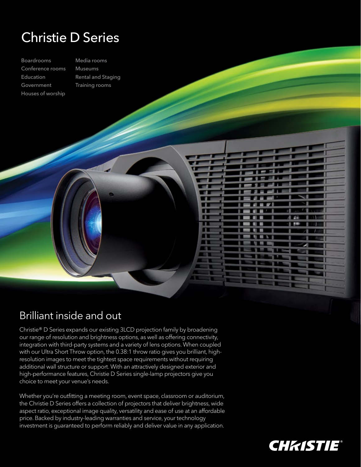## Christie D Series

Boardrooms Conference rooms Education Government Houses of worship

Media rooms Museums Rental and Staging Training rooms

## Brilliant inside and out

Christie® D Series expands our existing 3LCD projection family by broadening our range of resolution and brightness options, as well as offering connectivity, integration with third-party systems and a variety of lens options. When coupled with our Ultra Short Throw option, the 0.38:1 throw ratio gives you brilliant, highresolution images to meet the tightest space requirements without requiring additional wall structure or support. With an attractively designed exterior and high-performance features, Christie D Series single-lamp projectors give you choice to meet your venue's needs.

. . П т

> $\mathbb{R}$ т

Whether you're outfitting a meeting room, event space, classroom or auditorium, the Christie D Series offers a collection of projectors that deliver brightness, wide aspect ratio, exceptional image quality, versatility and ease of use at an affordable price. Backed by industry-leading warranties and service, your technology investment is guaranteed to perform reliably and deliver value in any application.



A se

m ▬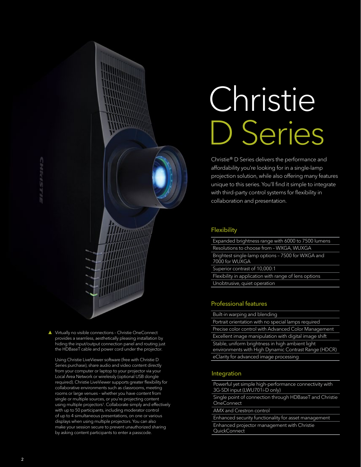▲ Virtually no visible connections - Christie OneConnect provides a seamless, aesthetically pleasing installation by hiding the input/output connection panel and routing just the HDBaseT cable and power cord under the projector.

 Using Christie LiveViewer software (free with Christie D Series purchase), share audio and video content directly from your computer or laptop to your projector via your Local Area Network or wirelessly (optional USB dongle required). Christie LiveViewer supports greater flexibility for collaborative environments such as classrooms, meeting rooms or large venues – whether you have content from single or multiple sources, or you're projecting content using multiple projectors<sup>1</sup>. Collaborate simply and effectively with up to 50 participants, including moderator control of up to 4 simultaneous presentations, on one or various displays when using multiple projectors. You can also make your session secure to prevent unauthorized sharing by asking content participants to enter a passcode.

# Christie D Series

Christie® D Series delivers the performance and affordability you're looking for in a single-lamp projection solution, while also offering many features unique to this series. You'll find it simple to integrate with third-party control systems for flexibility in collaboration and presentation.

#### **Flexibility**

Expanded brightness range with 6000 to 7500 lumens Resolutions to choose from – WXGA, WUXGA Brightest single-lamp options – 7500 for WXGA and 7000 for WUXGA Superior contrast of 10,000:1 Flexibility in application with range of lens options Unobtrusive, quiet operation

### Professional features

Built-in warping and blending

Portrait orientation with no special lamps required Precise color control with Advanced Color Management Excellent image manipulation with digital image shift Stable, uniform brightness in high ambient light environments with High Dynamic Contrast Range (HDCR) eClarity for advanced image processing

### Integration

Powerful yet simple high-performance connectivity with 3G-SDI input (LWU701i-D only)

Single point of connection through HDBaseT and Christie **OneConnect** 

AMX and Crestron control

Enhanced security functionality for asset management Enhanced projector management with Christie **QuickConnect**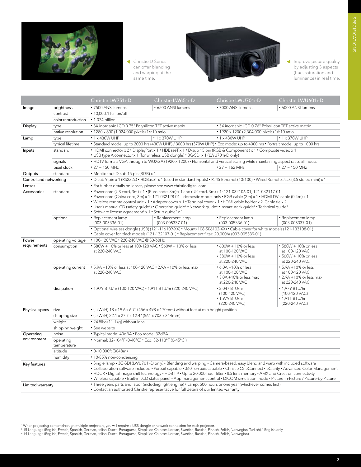

 Christie D Series can offer blending and warping at the same time.



Improve picture quality by adjusting 3 aspects (hue, saturation and luminance) in real time.

|                            |                          | Christie LW751i-D                                                                                                                                                                                                                                                                                                                                                                                                                                                                                                                                                                                                          | Christie LW651i-D                     | Christie LWU701i-D                                                                                                          | Christie LWU601i-D                                                                       |
|----------------------------|--------------------------|----------------------------------------------------------------------------------------------------------------------------------------------------------------------------------------------------------------------------------------------------------------------------------------------------------------------------------------------------------------------------------------------------------------------------------------------------------------------------------------------------------------------------------------------------------------------------------------------------------------------------|---------------------------------------|-----------------------------------------------------------------------------------------------------------------------------|------------------------------------------------------------------------------------------|
| Image                      | brightness               | • 7500 ANSI lumens                                                                                                                                                                                                                                                                                                                                                                                                                                                                                                                                                                                                         | • 6500 ANSI lumens                    | • 7000 ANSI lumens                                                                                                          | • 6000 ANSI lumens                                                                       |
|                            | contrast                 | $\cdot$ 10.000:1 full on/off                                                                                                                                                                                                                                                                                                                                                                                                                                                                                                                                                                                               |                                       |                                                                                                                             |                                                                                          |
|                            | color reproduction       | · 1.074 billion                                                                                                                                                                                                                                                                                                                                                                                                                                                                                                                                                                                                            |                                       |                                                                                                                             |                                                                                          |
| Display                    | type                     | • 3X inorganic LCD 0.75" Polysilicon TFT active matrix<br>• 3X inorganic LCD 0.76" Polysilicon TFT active matrix                                                                                                                                                                                                                                                                                                                                                                                                                                                                                                           |                                       |                                                                                                                             |                                                                                          |
|                            | native resolution        | • 1280 x 800 (1,024,000 pixels) 16:10 ratio                                                                                                                                                                                                                                                                                                                                                                                                                                                                                                                                                                                |                                       | • 1920 x 1200 (2,304,000 pixels) 16:10 ratio                                                                                |                                                                                          |
| Lamp                       | type                     | $\cdot$ 1 x 430W UHP                                                                                                                                                                                                                                                                                                                                                                                                                                                                                                                                                                                                       | $\cdot$ 1 x 370W UHP                  | $\cdot$ 1 x 430W UHP                                                                                                        | $\cdot$ 1 x 370W UHP                                                                     |
|                            | typical lifetime         |                                                                                                                                                                                                                                                                                                                                                                                                                                                                                                                                                                                                                            |                                       | • Standard mode: up to 2000 hrs (430W UHP) / 3000 hrs (370W UHP) • Eco mode: up to 4000 hrs • Portrait mode: up to 1000 hrs |                                                                                          |
| Inputs                     | standard                 | • HDMI connector x 2 • DisplayPort x 1 • HDBaseT x 1 • D-sub 15 pin (RGB & Component) x 1 • Composite video x 1<br>• USB type A connector x 1 (for wireless USB dongle) • 3G-SDI x 1 (LWU701i-D only)                                                                                                                                                                                                                                                                                                                                                                                                                      |                                       |                                                                                                                             |                                                                                          |
|                            | signals                  | . HDTV formats VGA through to WUXGA (1920 x 1200) • Horizontal and vertical scaling while maintaining aspect ratio, all inputs                                                                                                                                                                                                                                                                                                                                                                                                                                                                                             |                                       |                                                                                                                             |                                                                                          |
|                            | pixel clock              | $\cdot$ 27 $\sim$ 150 MHz                                                                                                                                                                                                                                                                                                                                                                                                                                                                                                                                                                                                  |                                       | $• 27 ~ 162$ MHz                                                                                                            | $• 27 ~ 150$ MHz                                                                         |
| Outputs                    | standard                 | • Monitor out D-sub 15 pin (RGB) x 1                                                                                                                                                                                                                                                                                                                                                                                                                                                                                                                                                                                       |                                       |                                                                                                                             |                                                                                          |
| Control and networking     |                          | • D-sub 9 pin x 1 (RS232c) • HDBaseT x 1 (used in standard inputs) • RJ45 Ethernet (10/100) • Wired Remote Jack (3.5 stereo mini) x 1                                                                                                                                                                                                                                                                                                                                                                                                                                                                                      |                                       |                                                                                                                             |                                                                                          |
| Lenses                     |                          | · For further details on lenses, please see www.christiedigital.com                                                                                                                                                                                                                                                                                                                                                                                                                                                                                                                                                        |                                       |                                                                                                                             |                                                                                          |
| Accessories                | standard                 | • Power cord (US cord, 3m) x 1 • (Euro code, 3m) x 1 and (UK cord, 3m) x 1: 121-032106-01, 121-032117-01<br>• Power cord (China cord, 3m) x 1: 121-032128-01 - domestic model only • RGB cable (2m) x 1 • HDMI-DVI cable (0.4m) x 1<br>• Wireless remote control unit x 1 • Adapter cover x 1 • Terminal cover x 1 • HDMI cable holder x 2, Cable tie x 2<br>• User's manual CD (safety guide <sup>4</sup> ) • Operating guide <sup>4</sup> • Network guide <sup>4</sup> • Instant stack guide <sup>4</sup> • Technical guide <sup>3</sup><br>• Software license agreement <sup>4</sup> x 1 • Setup quide <sup>2</sup> x 1 |                                       |                                                                                                                             |                                                                                          |
|                            | optional                 | • Replacement lamp<br>$(003 - 005336 - 01)$                                                                                                                                                                                                                                                                                                                                                                                                                                                                                                                                                                                | • Replacement lamp<br>(003-005337-01) | • Replacement lamp<br>$(003 - 005336 - 01)$                                                                                 | • Replacement lamp<br>$(003 - 005337 - 01)$                                              |
|                            |                          | • Optional wireless dongle (USB) (121-116109-XX) • Mount (108-506102-XX) • Cable cover for white models (121-133108-01)<br>• Cable cover for black models (121-132107-01) • Replacement filter: 20,000hr (003-005339-01)                                                                                                                                                                                                                                                                                                                                                                                                   |                                       |                                                                                                                             |                                                                                          |
| Power<br>operating voltage |                          | • 100-120 VAC • 220-240 VAC @ 50/60Hz                                                                                                                                                                                                                                                                                                                                                                                                                                                                                                                                                                                      |                                       |                                                                                                                             |                                                                                          |
| requirements               | consumption              | • 580W + 10% or less at 100-120 VAC • 560W + 10% or less<br>at 220-240 VAC                                                                                                                                                                                                                                                                                                                                                                                                                                                                                                                                                 |                                       | • 600W + 10% or less<br>at 100-120 VAC<br>• 580W + 10% or less<br>at 220-240 VAC                                            | • 580W + 10% or less<br>at 100-120 VAC<br>• 560W + 10% or less<br>at 220-240 VAC         |
|                            | operating current        | • 5.9A +10% or less at 100-120 VAC • 2.9A +10% or less max<br>at 220-240 VAC                                                                                                                                                                                                                                                                                                                                                                                                                                                                                                                                               |                                       | • 6.0A +10% or less<br>at 100-120 VAC<br>$\cdot$ 3.0A +10% or less max<br>at 220-240 VAC                                    | • 5.9A +10% or less<br>at 100-120 VAC<br>$\cdot$ 2.9A +10% or less max<br>at 220-240 VAC |
|                            | dissipation              | • 1,979 BTU/hr (100-120 VAC) • 1,911 BTU/hr (220-240 VAC)                                                                                                                                                                                                                                                                                                                                                                                                                                                                                                                                                                  |                                       | • 2.047 BTU/hr<br>(100-120 VAC)<br>• 1,979 BTU/hr<br>(220-240 VAC)                                                          | • 1.979 BTU/hr<br>(100-120 VAC)<br>• 1,911 BTU/hr<br>(220-240 VAC)                       |
| Physical specs             | size                     |                                                                                                                                                                                                                                                                                                                                                                                                                                                                                                                                                                                                                            |                                       |                                                                                                                             |                                                                                          |
|                            | shipping size            | • (LxWxH) 22.1 x 27.7 x 12.4" (561 x 703 x 314mm)                                                                                                                                                                                                                                                                                                                                                                                                                                                                                                                                                                          |                                       |                                                                                                                             |                                                                                          |
|                            | weight                   | • 24.5lbs (11.1kg) without lens                                                                                                                                                                                                                                                                                                                                                                                                                                                                                                                                                                                            |                                       |                                                                                                                             |                                                                                          |
|                            | shipping weight          | • See website                                                                                                                                                                                                                                                                                                                                                                                                                                                                                                                                                                                                              |                                       |                                                                                                                             |                                                                                          |
| Operating<br>environment   | noise                    | · Typical mode: 40dBA · Eco mode: 32dBA                                                                                                                                                                                                                                                                                                                                                                                                                                                                                                                                                                                    |                                       |                                                                                                                             |                                                                                          |
|                            | operating<br>temperature | • Normal: 32-104°F (0-40°C) • Eco: 32-113°F (0-45°C)                                                                                                                                                                                                                                                                                                                                                                                                                                                                                                                                                                       |                                       |                                                                                                                             |                                                                                          |
|                            | altitude                 | $\cdot$ 0-10,000ft (3048m)                                                                                                                                                                                                                                                                                                                                                                                                                                                                                                                                                                                                 |                                       |                                                                                                                             |                                                                                          |
|                            | humidity                 | • 10-85% non-condensing                                                                                                                                                                                                                                                                                                                                                                                                                                                                                                                                                                                                    |                                       |                                                                                                                             |                                                                                          |
| Key features               |                          | . Single lamp . 3G-SDI (LWU701i-D only) . Blending and warping . Camera-based, easy blend and warp with included software<br>• Collaboration software included • Portrait capable • 360° on axis capable • Christie OneConnect • eClarity • Advanced Color Management<br>• HDCR • Digital image shift technology • HDBT <sup>TM</sup> • Up to 20,000 hour filter • ILS lens memory • AMX and Crestron connectivity<br>. Wireless capable . Built-in LCD status panel . App management control . DICOM simulation mode . Picture-in-Picture / Picture-by-Picture                                                            |                                       |                                                                                                                             |                                                                                          |
| Limited warranty           |                          | • Three years parts and labor (including light engine) • Lamp: 500 hours or one year (whichever comes first)<br>• Contact an authorized Christie representative for full details of our limited warranty                                                                                                                                                                                                                                                                                                                                                                                                                   |                                       |                                                                                                                             |                                                                                          |

- <sup>1</sup> When projecting content through multiple projectors, you will require a USB dongle or network connection for each projector.<br><sup>2</sup> 15 Language (English, French, Spanish, German, Italian, Dutch, Portuguese, Simplified Chi
-